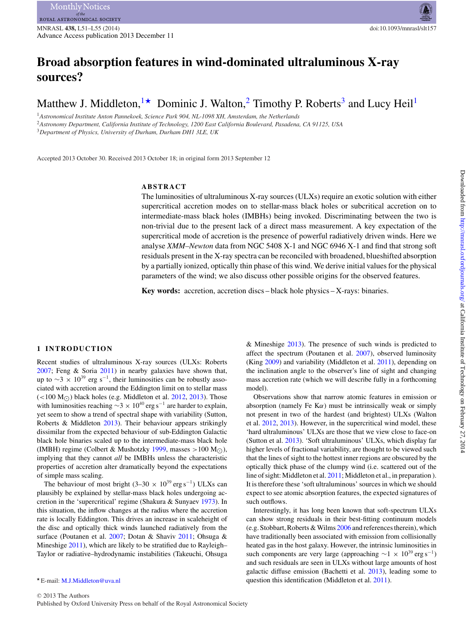# **Broad absorption features in wind-dominated ultraluminous X-ray sources?**

# Matthew J. Middleton,  $1\star$  $1\star$  Dominic J. Walton,<sup>2</sup> Timothy P. Roberts<sup>3</sup> and Lucy Heil<sup>1</sup>

<span id="page-0-3"></span><span id="page-0-2"></span><span id="page-0-0"></span><sup>1</sup>*Astronomical Institute Anton Pannekoek, Science Park 904, NL-1098 XH, Amsterdam, the Netherlands* <sup>2</sup>*Astronomy Department, California Institute of Technology, 1200 East California Boulevard, Pasadena, CA 91125, USA* <sup>3</sup>*Department of Physics, University of Durham, Durham DH1 3LE, UK*

Accepted 2013 October 30. Received 2013 October 18; in original form 2013 September 12

## **ABSTRACT**

The luminosities of ultraluminous X-ray sources (ULXs) require an exotic solution with either supercritical accretion modes on to stellar-mass black holes or subcritical accretion on to intermediate-mass black holes (IMBHs) being invoked. Discriminating between the two is non-trivial due to the present lack of a direct mass measurement. A key expectation of the supercritical mode of accretion is the presence of powerful radiatively driven winds. Here we analyse *XMM–Newton* data from NGC 5408 X-1 and NGC 6946 X-1 and find that strong soft residuals present in the X-ray spectra can be reconciled with broadened, blueshifted absorption by a partially ionized, optically thin phase of this wind. We derive initial values for the physical parameters of the wind; we also discuss other possible origins for the observed features.

**Key words:** accretion, accretion discs – black hole physics – X-rays: binaries.

#### **1 INTRODUCTION**

Recent studies of ultraluminous X-ray sources (ULXs: Roberts [2007;](#page-4-0) Feng & Soria [2011\)](#page-4-1) in nearby galaxies have shown that, up to  $\sim$ 3 × 10<sup>39</sup> erg s<sup>-1</sup>, their luminosities can be robustly associated with accretion around the Eddington limit on to stellar mass  $(<100 M<sub>o</sub>)$  black holes (e.g. Middleton et al. [2012,](#page-4-2) [2013\)](#page-4-3). Those with luminosities reaching  $\sim$ 3 × 10<sup>40</sup> erg s<sup>-1</sup> are harder to explain, yet seem to show a trend of spectral shape with variability (Sutton, Roberts & Middleton [2013\)](#page-4-4). Their behaviour appears strikingly dissimilar from the expected behaviour of sub-Eddington Galactic black hole binaries scaled up to the intermediate-mass black hole (IMBH) regime (Colbert & Mushotzky [1999,](#page-4-5) masses >100 M $\odot$ ), implying that they cannot *all* be IMBHs unless the characteristic properties of accretion alter dramatically beyond the expectations of simple mass scaling.

The behaviour of most bright  $(3-30 \times 10^{39} \text{ erg s}^{-1})$  ULXs can plausibly be explained by stellar-mass black holes undergoing accretion in the 'supercritical' regime (Shakura & Sunyaev [1973\)](#page-4-6). In this situation, the inflow changes at the radius where the accretion rate is locally Eddington. This drives an increase in scaleheight of the disc and optically thick winds launched radiatively from the surface (Poutanen et al. [2007;](#page-4-7) Dotan & Shaviv [2011;](#page-4-8) Ohsuga & Mineshige [2011\)](#page-4-9), which are likely to be stratified due to Rayleigh– Taylor or radiative–hydrodynamic instabilities (Takeuchi, Ohsuga

& Mineshige [2013\)](#page-4-10). The presence of such winds is predicted to affect the spectrum (Poutanen et al. [2007\)](#page-4-7), observed luminosity (King [2009\)](#page-4-11) and variability (Middleton et al. [2011\)](#page-4-12), depending on the inclination angle to the observer's line of sight and changing mass accretion rate (which we will describe fully in a forthcoming model).

Observations show that narrow atomic features in emission or absorption (namely Fe K $\alpha$ ) must be intrinsically weak or simply not present in two of the hardest (and brightest) ULXs (Walton et al. [2012,](#page-4-13) [2013\)](#page-4-14). However, in the supercritical wind model, these 'hard ultraluminous' ULXs are those that we view close to face-on (Sutton et al. [2013\)](#page-4-4). 'Soft ultraluminous' ULXs, which display far higher levels of fractional variability, are thought to be viewed such that the lines of sight to the hottest inner regions are obscured by the optically thick phase of the clumpy wind (i.e. scattered out of the line of sight: Middleton et al. [2011;](#page-4-12) Middleton et al., in preparation ). It is therefore these 'soft ultraluminous' sources in which we should expect to see atomic absorption features, the expected signatures of such outflows.

Interestingly, it has long been known that soft-spectrum ULXs can show strong residuals in their best-fitting continuum models (e.g. Stobbart, Roberts & Wilms [2006](#page-4-15) and references therein), which have traditionally been associated with emission from collisionally heated gas in the host galaxy. However, the intrinsic luminosities in such components are very large (approaching  $\sim$ 1 × 10<sup>39</sup> erg s<sup>-1</sup>) and such residuals are seen in ULXs without large amounts of host galactic diffuse emission (Bachetti et al. [2013\)](#page-4-16), leading some to question this identification (Middleton et al. [2011\)](#page-4-12).

<span id="page-0-1"></span><sup>-</sup> E-mail: [M.J.Middleton@uva.nl](mailto:M.J.Middleton@uva.nl)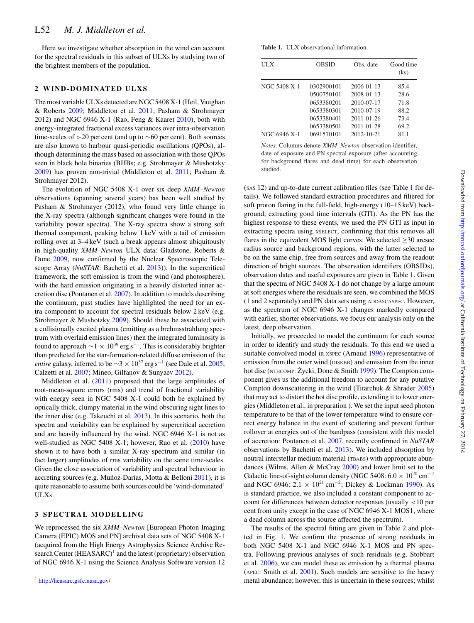Here we investigate whether absorption in the wind can account for the spectral residuals in this subset of ULXs by studying two of the brightest members of the population.

#### **2 WIND -DOMINATED ULXS**

The most variable ULXs detected are NGC 5408 X-1 (Heil, Vaughan & Roberts [2009;](#page-4-17) Middleton et al. [2011;](#page-4-12) Pasham & Strohmayer 2012) and NGC 6946 X-1 (Rao, Feng & Kaaret [2010\)](#page-4-18), both with energy-integrated fractional excess variances over intra-observation time-scales of >20 per cent (and up to  $\sim$ 60 per cent). Both sources are also known to harbour quasi-periodic oscillations (QPOs), although determining the mass based on association with those QPOs seen in black hole binaries (BHBs; e.g. Strohmayer & Mushotzky [2009\)](#page-4-19) has proven non-trivial (Middleton et al. [2011;](#page-4-12) Pasham & Strohmayer 2012).

The evolution of NGC 5408 X-1 over six deep *XMM–Newton* observations (spanning several years) has been well studied by Pasham & Strohmayer (2012), who found very little change in the X-ray spectra (although significant changes were found in the variability power spectra). The X-ray spectra show a strong soft thermal component, peaking below 1 keV with a tail of emission rolling over at 3–4 keV (such a break appears almost ubiquitously in high-quality *XMM–Newton* ULX data: Gladstone, Roberts & Done [2009,](#page-4-20) now confirmed by the Nuclear Spectroscopic Telescope Array (*NuSTAR*: Bachetti et al. [2013\)](#page-4-16)). In the supercritical framework, the soft emission is from the wind (and photosphere), with the hard emission originating in a heavily distorted inner accretion disc (Poutanen et al. [2007\)](#page-4-7). In addition to models describing the continuum, past studies have highlighted the need for an extra component to account for spectral residuals below 2 keV (e.g. Strohmayer & Mushotzky [2009\)](#page-4-19). Should these be associated with a collisionally excited plasma (emitting as a brehmsstrahlung spectrum with overlaid emission lines) then the integrated luminosity is found to approach  $\sim$ 1 × 10<sup>39</sup> erg s<sup>-1</sup>. This is considerably brighter than predicted for the star-formation-related diffuse emission of the *entire* galaxy, inferred to be  $\sim$ 3 × 10<sup>37</sup> erg s<sup>-1</sup> (see Dale et al. [2005;](#page-4-21) Calzetti et al. [2007;](#page-4-22) Mineo, Gilfanov & Sunyaev [2012\)](#page-4-23).

Middleton et al. [\(2011\)](#page-4-12) proposed that the large amplitudes of root-mean-square errors (rms) and trend of fractional variability with energy seen in NGC 5408 X-1 could both be explained by optically thick, clumpy material in the wind obscuring sight lines to the inner disc (e.g. Takeuchi et al. [2013\)](#page-4-10). In this scenario, both the spectra and variability can be explained by supercritical accretion and are heavily influenced by the wind. NGC 6946 X-1 is not as well-studied as NGC 5408 X-1; however, Rao et al. [\(2010\)](#page-4-18) have shown it to have both a similar X-ray spectrum and similar (in fact larger) amplitudes of rms variability on the same time-scales. Given the close association of variability and spectral behaviour in accreting sources (e.g. Muñoz-Darias, Motta & Belloni [2011\)](#page-4-24), it is quite reasonable to assume both sources could be 'wind-dominated' ULXs.

#### **3 SPECTRAL MODELLING**

We reprocessed the six *XMM–Newton* [European Photon Imaging Camera (EPIC) MOS and PN] archival data sets of NGC 5408 X-1 (acquired from the High Energy Astrophysics Science Archive Research Center  $(HEASARC)^1$  and the latest (proprietary) observation of NGC 6946 X-1 using the Science Analysis Software version 12

<span id="page-1-0"></span>**Table 1.** ULX observational information.

| ULX          | <b>OBSID</b> | Obs. date        | Good time<br>(ks) |  |
|--------------|--------------|------------------|-------------------|--|
| NGC 5408 X-1 | 0302900101   | $2006 - 01 - 13$ | 85.4              |  |
|              | 0500750101   | $2008 - 01 - 13$ | 28.6              |  |
|              | 0653380201   | 2010-07-17       | 71.8              |  |
|              | 0653380301   | 2010-07-19       | 88.2              |  |
|              | 0653380401   | $2011 - 01 - 26$ | 73.4              |  |
|              | 0653380501   | $2011 - 01 - 28$ | 69.2              |  |
| NGC 6946 X-1 | 0691570101   | $2012 - 10 - 21$ | 81.1              |  |
|              |              |                  |                   |  |

*Notes.* Columns denote *XMM–Newton* observation identifier, date of exposure and PN spectral exposure (after accounting for background flares and dead time) for each observation studied.

(SAS 12) and up-to-date current calibration files (see Table [1](#page-1-0) for details). We followed standard extraction procedures and filtered for soft proton flaring in the full-field, high-energy (10–15 keV) background, extracting good time intervals (GTI). As the PN has the highest response to these events, we used the PN GTI as input in extracting spectra using XSELECT, confirming that this removes all flares in the equivalent MOS light curves. We selected  $\geq$  30 arcsec radius source and background regions, with the latter selected to be on the same chip, free from sources and away from the readout direction of bright sources. The observation identifiers (OBSIDs), observation dates and useful exposures are given in Table [1.](#page-1-0) Given that the spectra of NGC 5408 X-1 do not change by a large amount at soft energies where the residuals are seen, we combined the MOS (1 and 2 separately) and PN data sets using ADDASCASPEC. However, as the spectrum of NGC 6946 X-1 changes markedly compared with earlier, shorter observations, we focus our analysis only on the latest, deep observation.

Initially, we proceeded to model the continuum for each source in order to identify and study the residuals. To this end we used a suitable convolved model in XSPEC (Arnaud [1996\)](#page-4-25) representative of emission from the outer wind (DISKBB) and emission from the inner hot disc (NTHCOMP: Życki, Done & Smith [1999\)](#page-4-26). The Compton component gives us the additional freedom to account for any putative Compton downscattering in the wind (Titarchuk & Shrader [2005\)](#page-4-27) that may act to distort the hot disc profile, extending it to lower energies (Middleton et al., in preparation ). We set the input seed photon temperature to be that of the lower temperature wind to ensure correct energy balance in the event of scattering and prevent further rollover at energies out of the bandpass (consistent with this model of accretion: Poutanen et al. [2007,](#page-4-7) recently confirmed in *NuSTAR* observations by Bachetti et al. [2013\)](#page-4-16). We included absorption by neutral interstellar medium material (TBABS) with appropriate abundances (Wilms, Allen & McCray [2000\)](#page-4-28) and lower limit set to the Galactic line-of-sight column density (NGC 5408:  $6.0 \times 10^{20}$  cm<sup>-2</sup> and NGC 6946:  $2.1 \times 10^{21}$  cm<sup>-2</sup>; Dickey & Lockman [1990\)](#page-4-29). As is standard practice, we also included a constant component to account for differences between detector responses (usually <10 per cent from unity except in the case of NGC 6946 X-1 MOS1, where a dead column across the source affected the spectrum).

The results of the spectral fitting are given in Table [2](#page-2-0) and plotted in Fig. [1.](#page-2-1) We confirm the presence of strong residuals in both NGC 5408 X-1 and NGC 6946 X-1 MOS and PN spectra. Following previous analyses of such residuals (e.g. Stobbart et al. [2006\)](#page-4-15), we can model these as emission by a thermal plasma (APEC: Smith et al. [2001\)](#page-4-30). Such models are sensitive to the heavy metal abundance; however, this is uncertain in these sources; whilst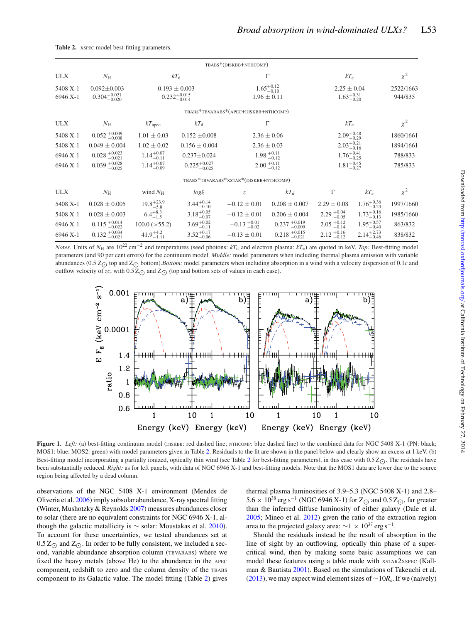<span id="page-2-0"></span>Table 2. XSPEC model best-fitting parameters.

|                      |                                                |                                                |                           | TBABS*(DISKBB+NTHCOMP)                    |                                   |                                           |                        |                      |
|----------------------|------------------------------------------------|------------------------------------------------|---------------------------|-------------------------------------------|-----------------------------------|-------------------------------------------|------------------------|----------------------|
| <b>ULX</b>           | $N_{\rm H}$                                    | $kT_{\rm d}$                                   |                           | $\Gamma$                                  |                                   | $kT_{\rm e}$                              |                        | $\chi^2$             |
| 5408 X-1<br>6946 X-1 | $0.092 \pm 0.003$<br>$0.304_{-0.020}^{+0.021}$ | $0.193 \pm 0.003$<br>$0.232_{-0.014}^{+0.015}$ |                           | $1.65^{+0.12}_{-0.10}$<br>$1.96 \pm 0.11$ |                                   | $2.25 \pm 0.04$<br>$1.63_{-0.20}^{+0.31}$ |                        | 2522/1663<br>944/835 |
|                      |                                                |                                                |                           | TBABS*TBVARABS*(APEC+DISKBB+NTHCOMP)      |                                   |                                           |                        |                      |
| <b>ULX</b>           | $N_{\rm H}$                                    | $kT_{\text{apec}}$                             | $kT_{\rm d}$              | $\Gamma$                                  |                                   | $kT_{\rm e}$                              |                        | $\chi^2$             |
| 5408 X-1             | $0.052_{ -0.008}^{ +0.009}$                    | $1.01 \pm 0.03$                                | $0.152 \pm 0.008$         | $2.36 \pm 0.06$                           |                                   | $2.09_{-0.29}^{+0.48}$                    |                        | 1860/1661            |
| 5408 X-1             | $0.049 \pm 0.004$                              | $1.02 \pm 0.02$                                | $0.156 \pm 0.004$         | $2.36 \pm 0.03$                           |                                   | $2.03_{-0.16}^{+0.21}$                    |                        | 1894/1661            |
| 6946 X-1             | $0.028 + 0.023$ <sub>-0.021</sub>              | $1.14^{+0.07}_{-0.11}$                         | $0.237 \pm 0.024$         | $1.98_{\,-0.12}^{\,+0.11}$                |                                   | $1.76^{+0.41}_{-0.25}$                    |                        | 788/833              |
| 6946 X-1             | $0.039 + 0.028$ <sub>-0.025</sub>              | $1.14^{+0.07}_{-0.09}$                         | $0.225_{-0.025}^{+0.027}$ | $2.00_{\,-0.12}^{\,+0.11}$                |                                   | $1.81^{+0.45}_{-0.27}$                    |                        | 785/833              |
|                      |                                                |                                                |                           | TBABS*TBVARABS*XSTAR*(DISKBB+NTHCOMP)     |                                   |                                           |                        |                      |
| <b>ULX</b>           | $N_{\rm H}$                                    | wind $N_{\rm H}$                               | $log\xi$                  | Z.                                        | $kT_d$                            | $\Gamma$                                  | $kT_e$                 | $\chi^2$             |
| 5408 X-1             | $0.028 \pm 0.005$                              | $19.8^{+23.9}_{-5.8}$                          | $3.44^{+0.14}_{-0.10}$    | $-0.12 \pm 0.01$                          | $0.208 \pm 0.007$                 | $2.29 \pm 0.08$                           | $1.76^{+0.36}_{-0.23}$ | 1997/1660            |
| 5408 X-1             | $0.028 \pm 0.003$                              | $6.4^{+8.3}_{-1.5}$                            | $3.18^{+0.05}_{-0.07}$    | $-0.12 \pm 0.01$                          | $0.206 \pm 0.004$                 | $2.29_{ -0.05}^{ +0.04}$                  | $1.73^{+0.16}_{-0.13}$ | 1985/1660            |
| 6946 X-1             | $0.115_{\ -0.022}^{\ +0.014}$                  | $100.0$ ( $> 55.2$ )                           | $3.69^{+0.02}_{-0.11}$    | $-0.13_{ -0.02}^{ +0.01}$                 | $0.237 + 0.019$ <sub>-0.009</sub> | $2.05_{\,-0.14}^{\,+0.12}$                | $1.95^{+0.57}_{-0.40}$ | 863/832              |
| 6946 X-1             | $0.132 + 0.034$ <sub>-0.021</sub>              | $41.9^{+4.2}_{-1.11}$                          | $3.52^{+0.17}_{-0.06}$    | $-0.13 \pm 0.01$                          | $0.218 + 0.015$ <sub>-0.021</sub> | $2.12_{ -0.12}^{ +0.16}$                  | $2.14^{+2.73}_{-0.46}$ | 838/832              |

<span id="page-2-1"></span>*Notes*. Units of *N*H are 10<sup>22</sup> cm<sup>-2</sup> and temperatures (seed photons: *kT*<sub>d</sub> and electron plasma: *kT*<sub>e</sub>) are quoted in keV. *Top*: Best-fitting model parameters (and 90 per cent errors) for the continuum model. *Middle:* model parameters when including thermal plasma emission with variable abundances (0.5  $Z<sub>O</sub>$  top and  $Z<sub>O</sub>$  bottom).*Bottom:* model parameters when including absorption in a wind with a velocity dispersion of 0.1*c* and outflow velocity of *zc*, with  $0.5 Z_{\odot}$  and  $Z_{\odot}$  (top and bottom sets of values in each case).



**Figure 1.** *Left:* (a) best-fitting continuum model (DISKBB: red dashed line; NTHCOMP: blue dashed line) to the combined data for NGC 5408 X-1 (PN: black; MOS1: blue; MOS2: green) with model parameters given in Table [2.](#page-2-0) Residuals to the fit are shown in the panel below and clearly show an excess at 1 keV. (b) Best-fitting model incorporating a partially ionized, optically thin wind (see Table [2](#page-2-0) for best-fitting parameters), in this case with  $0.5 Z<sub>O</sub>$ . The residuals have been substantially reduced. *Right:* as for left panels, with data of NGC 6946 X-1 and best-fitting models. Note that the MOS1 data are lower due to the source region being affected by a dead column.

observations of the NGC 5408 X-1 environment (Mendes de Oliveria et al. [2006\)](#page-4-31) imply subsolar abundance, X-ray spectral fitting (Winter, Mushotzky & Reynolds [2007\)](#page-4-32) measures abundances closer to solar (there are no equivalent constraints for NGC 6946 X-1, although the galactic metallicity is  $\sim$  solar: Moustakas et al. [2010\)](#page-4-33). To account for these uncertainties, we tested abundances set at  $0.5 Z_{\odot}$  and  $Z_{\odot}$ . In order to be fully consistent, we included a second, variable abundance absorption column (TBVARABS) where we fixed the heavy metals (above He) to the abundance in the APEC component, redshift to zero and the column density of the TBABS component to its Galactic value. The model fitting (Table [2\)](#page-2-0) gives thermal plasma luminosities of 3.9–5.3 (NGC 5408 X-1) and 2.8– 5.6 × 10<sup>38</sup> erg s<sup>-1</sup> (NGC 6946 X-1) for Z<sub>⊙</sub> and 0.5 Z<sub>⊙</sub>, far greater than the inferred diffuse luminosity of either galaxy (Dale et al. [2005;](#page-4-21) Mineo et al. [2012\)](#page-4-23) given the ratio of the extraction region area to the projected galaxy area:  $\sim$ 1 × 10<sup>37</sup> erg s<sup>-1</sup>.

Should the residuals instead be the result of absorption in the line of sight by an outflowing, optically thin phase of a supercritical wind, then by making some basic assumptions we can model these features using a table made with XSTAR2XSPEC (Kallman & Bautista [2001\)](#page-4-34). Based on the simulations of Takeuchi et al. [\(2013\)](#page-4-10), we may expect wind element sizes of ∼10*R*s. If we (naively)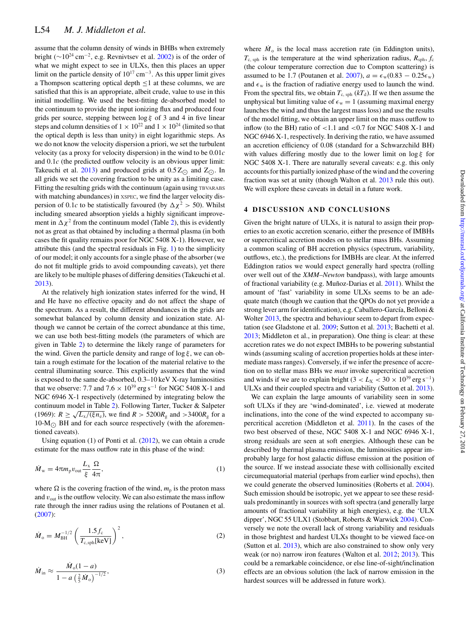assume that the column density of winds in BHBs when extremely bright ( $\sim$ 10<sup>24</sup> cm<sup>-2</sup>, e.g. Revnivtsev et al. [2002\)](#page-4-35) is of the order of what we might expect to see in ULXs, then this places an upper limit on the particle density of  $10^{17}$  cm<sup>-3</sup>. As this upper limit gives a Thompson scattering optical depth ≤1 at these columns, we are satisfied that this is an appropriate, albeit crude, value to use in this initial modelling. We used the best-fitting de-absorbed model to the continuum to provide the input ionizing flux and produced four grids per source, stepping between  $\log \xi$  of 3 and 4 in five linear steps and column densities of  $1 \times 10^{22}$  and  $1 \times 10^{24}$  (limited so that the optical depth is less than unity) in eight logarithmic steps. As we do not know the velocity dispersion a priori, we set the turbulent velocity (as a proxy for velocity dispersion) in the wind to be 0.01*c* and 0.1*c* (the predicted outflow velocity is an obvious upper limit: Takeuchi et al. [2013\)](#page-4-10) and produced grids at  $0.5 Z_{\odot}$  and  $Z_{\odot}$ . In all grids we set the covering fraction to be unity as a limiting case. Fitting the resulting grids with the continuum (again using TBVARABS with matching abundances) in XSPEC, we find the larger velocity dispersion of 0.1*c* to be statistically favoured (by  $\Delta \chi^2 > 50$ ). Whilst including smeared absorption yields a highly significant improvement in  $\Delta \chi^2$  from the continuum model (Table [2\)](#page-2-0), this is evidently not as great as that obtained by including a thermal plasma (in both cases the fit quality remains poor for NGC 5408 X-1). However, we attribute this (and the spectral residuals in Fig. [1\)](#page-2-1) to the simplicity of our model; it only accounts for a single phase of the absorber (we do not fit multiple grids to avoid compounding caveats), yet there are likely to be multiple phases of differing densities (Takeuchi et al. [2013\)](#page-4-10).

At the relatively high ionization states inferred for the wind, H and He have no effective opacity and do not affect the shape of the spectrum. As a result, the different abundances in the grids are somewhat balanced by column density and ionization state. Although we cannot be certain of the correct abundance at this time, we can use both best-fitting models (the parameters of which are given in Table [2\)](#page-2-0) to determine the likely range of parameters for the wind. Given the particle density and range of  $\log \xi$ , we can obtain a rough estimate for the location of the material relative to the central illuminating source. This explicitly assumes that the wind is exposed to the same de-absorbed, 0.3–10 keV X-ray luminosities that we observe: 7.7 and 7.6  $\times$  10<sup>39</sup> erg s<sup>-1</sup> for NGC 5408 X-1 and NGC 6946 X-1 respectively (determined by integrating below the continuum model in Table [2\)](#page-2-0). Following Tarter, Tucker & Salpeter (1969):  $R \geq \sqrt{L_x/(\xi n_e)}$ , we find  $R > 5200R_g$  and  $>3400R_g$  for a  $10-M<sub>\odot</sub>$  BH and for each source respectively (with the aforementioned caveats).

Using equation (1) of Ponti et al. [\(2012\)](#page-4-36), we can obtain a crude estimate for the mass outflow rate in this phase of the wind:

$$
\dot{M}_{\rm w} = 4\pi m_{\rm p} v_{\rm out} \frac{L_{\rm x}}{\xi} \frac{\Omega}{4\pi},\tag{1}
$$

where  $\Omega$  is the covering fraction of the wind,  $m_p$  is the proton mass and  $v_{\text{out}}$  is the outflow velocity. We can also estimate the mass inflow rate through the inner radius using the relations of Poutanen et al. [\(2007\)](#page-4-7):

$$
\dot{M}_{\rm o} = M_{\rm BH}^{-1/2} \left( \frac{1.5 f_{\rm c}}{T_{\rm c, sph} \text{[keV]}} \right)^2, \tag{2}
$$

$$
\dot{M}_{\rm in} \approx \frac{\dot{M}_{\rm o}(1-a)}{1-a\left(\frac{2}{5}\dot{M}_{\rm o}\right)^{-1/2}},\tag{3}
$$

where  $\dot{M}_{0}$  is the local mass accretion rate (in Eddington units),  $T_{\rm c, sph}$  is the temperature at the wind spherization radius,  $R_{\rm sph}$ ,  $f_{\rm c}$ (the colour temperature correction due to Compton scattering) is assumed to be 1.7 (Poutanen et al. [2007\)](#page-4-7),  $a = \epsilon_{w}(0.83 - 0.25\epsilon_{w})$ and  $\epsilon_{\rm w}$  is the fraction of radiative energy used to launch the wind. From the spectral fits, we obtain  $T_{c, sph}$  ( $kT_d$ ). If we then assume the unphysical but limiting value of  $\epsilon_w = 1$  (assuming maximal energy launches the wind and thus the largest mass loss) and use the results of the model fitting, we obtain an upper limit on the mass outflow to inflow (to the BH) ratio of  $< 1.1$  and  $< 0.7$  for NGC 5408 X-1 and NGC 6946 X-1, respectively. In deriving the ratio, we have assumed an accretion efficiency of 0.08 (standard for a Schwarzchild BH) with values differing mostly due to the lower limit on  $\log \xi$  for NGC 5408 X-1. There are naturally several caveats: e.g. this only accounts for this partially ionized phase of the wind and the covering fraction was set at unity (though Walton et al. [2013](#page-4-14) rule this out). We will explore these caveats in detail in a future work.

#### **4 DISCUSSION AND CONCLUSIONS**

Given the bright nature of ULXs, it is natural to assign their properties to an exotic accretion scenario, either the presence of IMBHs or supercritical accretion modes on to stellar mass BHs. Assuming a common scaling of BH accretion physics (spectrum, variability, outflows, etc.), the predictions for IMBHs are clear. At the inferred Eddington ratios we would expect generally hard spectra (rolling over well out of the *XMM–Newton* bandpass), with large amounts of fractional variability (e.g. Muñoz-Darias et al. [2011\)](#page-4-24). Whilst the amount of 'fast' variability in some ULXs seems to be an adequate match (though we caution that the QPOs do not yet provide a strong lever arm for identification), e.g. Caballero-García, Belloni & Wolter [2013,](#page-4-37) the spectra and behaviour seem to depart from expectation (see Gladstone et al. [2009;](#page-4-20) Sutton et al. [2013;](#page-4-4) Bachetti et al. [2013;](#page-4-16) Middleton et al., in preparation). One thing is clear: at these accretion rates we do not expect IMBHs to be powering substantial winds (assuming scaling of accretion properties holds at these intermediate mass ranges). Conversely, if we infer the presence of accretion on to stellar mass BHs we *must* invoke supercritical accretion and winds if we are to explain bright  $(3 < L_X < 30 \times 10^{39} \text{ erg s}^{-1})$ ULXs and their coupled spectra and variability (Sutton et al. [2013\)](#page-4-4).

We can explain the large amounts of variability seen in some soft ULXs if they are 'wind-dominated', i.e. viewed at moderate inclinations, into the cone of the wind expected to accompany supercritical accretion (Middleton et al. [2011\)](#page-4-12). In the cases of the two best observed of these, NGC 5408 X-1 and NGC 6946 X-1, strong residuals are seen at soft energies. Although these can be described by thermal plasma emission, the luminosities appear improbably large for host galactic diffuse emission at the position of the source. If we instead associate these with collisionally excited circumequatorial material (perhaps from earlier wind epochs), then we could generate the observed luminosities (Roberts et al. [2004\)](#page-4-38). Such emission should be isotropic, yet we appear to see these residuals predominantly in sources with soft spectra (and generally large amounts of fractional variability at high energies), e.g. the 'ULX dipper', NGC 55 ULX1 (Stobbart, Roberts & Warwick [2004\)](#page-4-39). Conversely we note the overall lack of strong variability and residuals in those brightest and hardest ULXs thought to be viewed face-on (Sutton et al. [2013\)](#page-4-4), which are also constrained to show only very weak (or no) narrow iron features (Walton et al. [2012;](#page-4-13) [2013\)](#page-4-14). This could be a remarkable coincidence, or else line-of-sight/inclination effects are an obvious solution (the lack of narrow emission in the hardest sources will be addressed in future work).